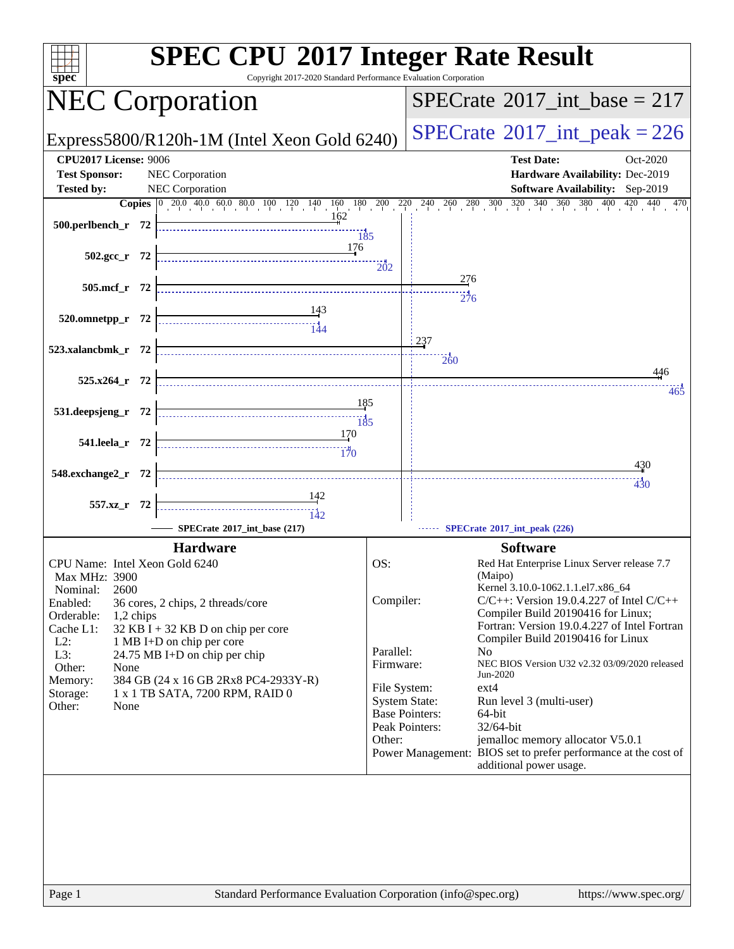| Copyright 2017-2020 Standard Performance Evaluation Corporation<br>spec <sup>®</sup>                                                                                                                                                                                                                                                                                                                                                       | <b>SPEC CPU®2017 Integer Rate Result</b>                                                                                                                                                                                                                                                                                                                                                                                                                                                                                                                                                                                                                                                                    |
|--------------------------------------------------------------------------------------------------------------------------------------------------------------------------------------------------------------------------------------------------------------------------------------------------------------------------------------------------------------------------------------------------------------------------------------------|-------------------------------------------------------------------------------------------------------------------------------------------------------------------------------------------------------------------------------------------------------------------------------------------------------------------------------------------------------------------------------------------------------------------------------------------------------------------------------------------------------------------------------------------------------------------------------------------------------------------------------------------------------------------------------------------------------------|
| <b>NEC Corporation</b>                                                                                                                                                                                                                                                                                                                                                                                                                     | $SPECrate^{\circledast}2017\_int\_base = 217$                                                                                                                                                                                                                                                                                                                                                                                                                                                                                                                                                                                                                                                               |
| Express5800/R120h-1M (Intel Xeon Gold 6240)                                                                                                                                                                                                                                                                                                                                                                                                | $SPECTate$ <sup>®</sup> 2017_int_peak = 226                                                                                                                                                                                                                                                                                                                                                                                                                                                                                                                                                                                                                                                                 |
| <b>CPU2017 License: 9006</b><br><b>Test Sponsor:</b><br>NEC Corporation                                                                                                                                                                                                                                                                                                                                                                    | <b>Test Date:</b><br>Oct-2020<br>Hardware Availability: Dec-2019                                                                                                                                                                                                                                                                                                                                                                                                                                                                                                                                                                                                                                            |
| <b>Tested by:</b><br>NEC Corporation                                                                                                                                                                                                                                                                                                                                                                                                       | <b>Software Availability:</b> Sep-2019                                                                                                                                                                                                                                                                                                                                                                                                                                                                                                                                                                                                                                                                      |
|                                                                                                                                                                                                                                                                                                                                                                                                                                            | <b>Copies</b> $\begin{bmatrix} 0 & 20.0 & 40.0 & 60.0 & 80.0 & 100 & 120 & 140 & 160 & 180 & 200 & 240 & 260 & 280 & 300 & 320 & 340 & 360 & 380 & 400 & 420 & 470 \end{bmatrix}$                                                                                                                                                                                                                                                                                                                                                                                                                                                                                                                           |
| 162<br>$\frac{135}{185}$                                                                                                                                                                                                                                                                                                                                                                                                                   |                                                                                                                                                                                                                                                                                                                                                                                                                                                                                                                                                                                                                                                                                                             |
| 176<br>$502.\text{gcc}_r$ 72                                                                                                                                                                                                                                                                                                                                                                                                               | 202                                                                                                                                                                                                                                                                                                                                                                                                                                                                                                                                                                                                                                                                                                         |
| 505.mcf_r 72                                                                                                                                                                                                                                                                                                                                                                                                                               | 276<br>276                                                                                                                                                                                                                                                                                                                                                                                                                                                                                                                                                                                                                                                                                                  |
| $\begin{array}{c c c} & & 143 \\ \hline \end{array}$<br>520.omnetpp_r 72                                                                                                                                                                                                                                                                                                                                                                   |                                                                                                                                                                                                                                                                                                                                                                                                                                                                                                                                                                                                                                                                                                             |
| 523.xalancbmk_r 72                                                                                                                                                                                                                                                                                                                                                                                                                         | 237<br>$\frac{11}{260}$                                                                                                                                                                                                                                                                                                                                                                                                                                                                                                                                                                                                                                                                                     |
| $525.x264$ r 72                                                                                                                                                                                                                                                                                                                                                                                                                            | 446<br>465                                                                                                                                                                                                                                                                                                                                                                                                                                                                                                                                                                                                                                                                                                  |
| 185<br>531.deepsjeng_r 72                                                                                                                                                                                                                                                                                                                                                                                                                  |                                                                                                                                                                                                                                                                                                                                                                                                                                                                                                                                                                                                                                                                                                             |
| <u>170</u><br>541.leela_r 72                                                                                                                                                                                                                                                                                                                                                                                                               |                                                                                                                                                                                                                                                                                                                                                                                                                                                                                                                                                                                                                                                                                                             |
| 548.exchange2_r 72                                                                                                                                                                                                                                                                                                                                                                                                                         | 430<br>430                                                                                                                                                                                                                                                                                                                                                                                                                                                                                                                                                                                                                                                                                                  |
| 557.xz_r 72                                                                                                                                                                                                                                                                                                                                                                                                                                |                                                                                                                                                                                                                                                                                                                                                                                                                                                                                                                                                                                                                                                                                                             |
| SPECrate*2017_int_base (217)                                                                                                                                                                                                                                                                                                                                                                                                               | SPECrate®2017_int_peak (226)                                                                                                                                                                                                                                                                                                                                                                                                                                                                                                                                                                                                                                                                                |
| <b>Hardware</b><br>CPU Name: Intel Xeon Gold 6240<br>Max MHz: 3900<br>2600<br>Nominal:<br>Enabled:<br>36 cores, 2 chips, 2 threads/core<br>Orderable:<br>1,2 chips<br>Cache L1:<br>32 KB I + 32 KB D on chip per core<br>$L2$ :<br>1 MB I+D on chip per core<br>L3:<br>24.75 MB I+D on chip per chip<br>Other:<br>None<br>384 GB (24 x 16 GB 2Rx8 PC4-2933Y-R)<br>Memory:<br>1 x 1 TB SATA, 7200 RPM, RAID 0<br>Storage:<br>Other:<br>None | <b>Software</b><br>OS:<br>Red Hat Enterprise Linux Server release 7.7<br>(Maipo)<br>Kernel 3.10.0-1062.1.1.el7.x86_64<br>Compiler:<br>$C/C++$ : Version 19.0.4.227 of Intel $C/C++$<br>Compiler Build 20190416 for Linux;<br>Fortran: Version 19.0.4.227 of Intel Fortran<br>Compiler Build 20190416 for Linux<br>Parallel:<br>No.<br>NEC BIOS Version U32 v2.32 03/09/2020 released<br>Firmware:<br>Jun-2020<br>$ext{4}$<br>File System:<br><b>System State:</b><br>Run level 3 (multi-user)<br><b>Base Pointers:</b><br>64-bit<br>Peak Pointers:<br>32/64-bit<br>jemalloc memory allocator V5.0.1<br>Other:<br>Power Management: BIOS set to prefer performance at the cost of<br>additional power usage. |
| Page 1                                                                                                                                                                                                                                                                                                                                                                                                                                     | Standard Performance Evaluation Corporation (info@spec.org)<br>https://www.spec.org/                                                                                                                                                                                                                                                                                                                                                                                                                                                                                                                                                                                                                        |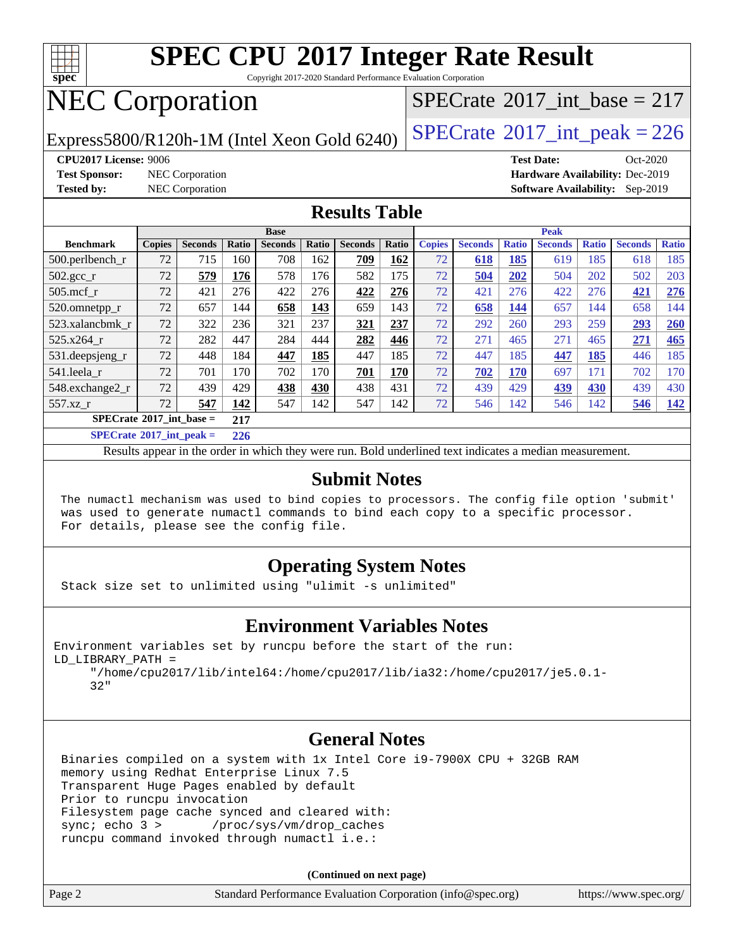

Copyright 2017-2020 Standard Performance Evaluation Corporation

# NEC Corporation

Express5800/R120h-1M (Intel Xeon Gold 6240)  $\left|$  [SPECrate](http://www.spec.org/auto/cpu2017/Docs/result-fields.html#SPECrate2017intpeak)<sup>®</sup>[2017\\_int\\_peak = 2](http://www.spec.org/auto/cpu2017/Docs/result-fields.html#SPECrate2017intpeak)26

 $SPECTate$ <sup>®</sup>[2017\\_int\\_base =](http://www.spec.org/auto/cpu2017/Docs/result-fields.html#SPECrate2017intbase) 217

**[CPU2017 License:](http://www.spec.org/auto/cpu2017/Docs/result-fields.html#CPU2017License)** 9006 **[Test Date:](http://www.spec.org/auto/cpu2017/Docs/result-fields.html#TestDate)** Oct-2020 **[Test Sponsor:](http://www.spec.org/auto/cpu2017/Docs/result-fields.html#TestSponsor)** NEC Corporation **[Hardware Availability:](http://www.spec.org/auto/cpu2017/Docs/result-fields.html#HardwareAvailability)** Dec-2019 **[Tested by:](http://www.spec.org/auto/cpu2017/Docs/result-fields.html#Testedby)** NEC Corporation **[Software Availability:](http://www.spec.org/auto/cpu2017/Docs/result-fields.html#SoftwareAvailability)** Sep-2019

#### **[Results Table](http://www.spec.org/auto/cpu2017/Docs/result-fields.html#ResultsTable)**

|                                                                                                        | <b>Base</b>   |                |       |                |       |                | <b>Peak</b> |               |                |              |                |              |                |              |
|--------------------------------------------------------------------------------------------------------|---------------|----------------|-------|----------------|-------|----------------|-------------|---------------|----------------|--------------|----------------|--------------|----------------|--------------|
| <b>Benchmark</b>                                                                                       | <b>Copies</b> | <b>Seconds</b> | Ratio | <b>Seconds</b> | Ratio | <b>Seconds</b> | Ratio       | <b>Copies</b> | <b>Seconds</b> | <b>Ratio</b> | <b>Seconds</b> | <b>Ratio</b> | <b>Seconds</b> | <b>Ratio</b> |
| 500.perlbench_r                                                                                        | 72            | 715            | 160   | 708            | 162   | 709            | 162         | 72            | 618            | 185          | 619            | 185          | 618            | 185          |
| $502.\text{gcc}_{r}$                                                                                   | 72            | 579            | 176   | 578            | 176   | 582            | 175         | 72            | 504            | 202          | 504            | 202          | 502            | 203          |
| 505.mcf r                                                                                              | 72            | 421            | 276   | 422            | 276   | 422            | 276         | 72            | 421            | 276          | 422            | 276          | 421            | 276          |
| 520.omnetpp_r                                                                                          | 72            | 657            | 144   | 658            | 143   | 659            | 143         | 72            | 658            | 144          | 657            | 144          | 658            | 144          |
| 523.xalancbmk_r                                                                                        | 72            | 322            | 236   | 321            | 237   | 321            | 237         | 72            | 292            | 260          | 293            | 259          | 293            | 260          |
| 525.x264 r                                                                                             | 72            | 282            | 447   | 284            | 444   | 282            | 446         | 72            | 271            | 465          | 271            | 465          | 271            | 465          |
| $531.$ deepsjeng $_r$                                                                                  | 72            | 448            | 184   | 447            | 185   | 447            | 185         | 72            | 447            | 185          | 447            | 185          | 446            | 185          |
| 541.leela r                                                                                            | 72            | 701            | 170   | 702            | 170   | 701            | 170         | 72            | 702            | <b>170</b>   | 697            | 171          | 702            | 170          |
| 548.exchange2_r                                                                                        | 72            | 439            | 429   | 438            | 430   | 438            | 431         | 72            | 439            | 429          | 439            | 430          | 439            | 430          |
| 557.xz r                                                                                               | 72            | 547            | 142   | 547            | 142   | 547            | 142         | 72            | 546            | 142          | 546            | 142          | 546            | 142          |
| $SPECrate^{\circledcirc}2017$ int base =                                                               |               |                | 217   |                |       |                |             |               |                |              |                |              |                |              |
| $CDFC_{\text{tot}}$ $\epsilon_0$ 0017 $\epsilon_1$ $\epsilon_2$ $\epsilon_3$ $\epsilon_4$ $\epsilon_5$ |               |                | 22    |                |       |                |             |               |                |              |                |              |                |              |

**[SPECrate](http://www.spec.org/auto/cpu2017/Docs/result-fields.html#SPECrate2017intpeak)[2017\\_int\\_peak =](http://www.spec.org/auto/cpu2017/Docs/result-fields.html#SPECrate2017intpeak) 226**

Results appear in the [order in which they were run](http://www.spec.org/auto/cpu2017/Docs/result-fields.html#RunOrder). Bold underlined text [indicates a median measurement](http://www.spec.org/auto/cpu2017/Docs/result-fields.html#Median).

#### **[Submit Notes](http://www.spec.org/auto/cpu2017/Docs/result-fields.html#SubmitNotes)**

 The numactl mechanism was used to bind copies to processors. The config file option 'submit' was used to generate numactl commands to bind each copy to a specific processor. For details, please see the config file.

#### **[Operating System Notes](http://www.spec.org/auto/cpu2017/Docs/result-fields.html#OperatingSystemNotes)**

Stack size set to unlimited using "ulimit -s unlimited"

#### **[Environment Variables Notes](http://www.spec.org/auto/cpu2017/Docs/result-fields.html#EnvironmentVariablesNotes)**

Environment variables set by runcpu before the start of the run: LD\_LIBRARY\_PATH =

 "/home/cpu2017/lib/intel64:/home/cpu2017/lib/ia32:/home/cpu2017/je5.0.1- 32"

#### **[General Notes](http://www.spec.org/auto/cpu2017/Docs/result-fields.html#GeneralNotes)**

 Binaries compiled on a system with 1x Intel Core i9-7900X CPU + 32GB RAM memory using Redhat Enterprise Linux 7.5 Transparent Huge Pages enabled by default Prior to runcpu invocation Filesystem page cache synced and cleared with: sync; echo 3 > /proc/sys/vm/drop\_caches runcpu command invoked through numactl i.e.:

**(Continued on next page)**

| Page 2 | Standard Performance Evaluation Corporation (info@spec.org) | https://www.spec.org/ |
|--------|-------------------------------------------------------------|-----------------------|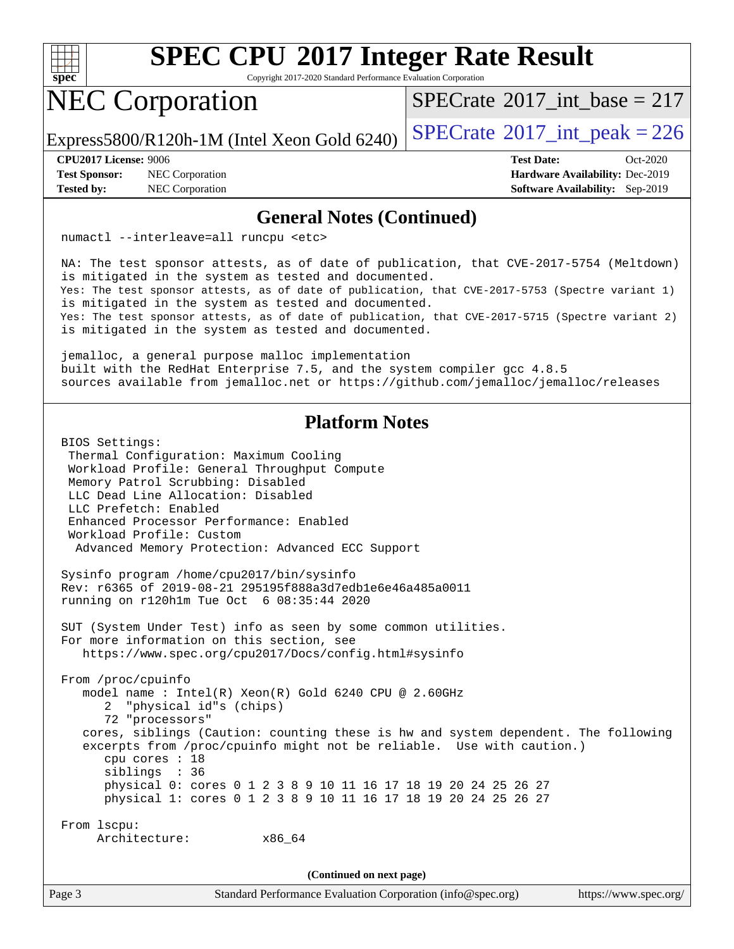

Copyright 2017-2020 Standard Performance Evaluation Corporation

# NEC Corporation

 $SPECTate$ <sup>®</sup>[2017\\_int\\_base =](http://www.spec.org/auto/cpu2017/Docs/result-fields.html#SPECrate2017intbase) 217

Express5800/R120h-1M (Intel Xeon Gold 6240)  $\left|$  [SPECrate](http://www.spec.org/auto/cpu2017/Docs/result-fields.html#SPECrate2017intpeak)<sup>®</sup>[2017\\_int\\_peak = 2](http://www.spec.org/auto/cpu2017/Docs/result-fields.html#SPECrate2017intpeak)26

**[Test Sponsor:](http://www.spec.org/auto/cpu2017/Docs/result-fields.html#TestSponsor)** NEC Corporation **[Hardware Availability:](http://www.spec.org/auto/cpu2017/Docs/result-fields.html#HardwareAvailability)** Dec-2019

**[CPU2017 License:](http://www.spec.org/auto/cpu2017/Docs/result-fields.html#CPU2017License)** 9006 **[Test Date:](http://www.spec.org/auto/cpu2017/Docs/result-fields.html#TestDate)** Oct-2020 **[Tested by:](http://www.spec.org/auto/cpu2017/Docs/result-fields.html#Testedby)** NEC Corporation **[Software Availability:](http://www.spec.org/auto/cpu2017/Docs/result-fields.html#SoftwareAvailability)** Sep-2019

#### **[General Notes \(Continued\)](http://www.spec.org/auto/cpu2017/Docs/result-fields.html#GeneralNotes)**

numactl --interleave=all runcpu <etc>

 NA: The test sponsor attests, as of date of publication, that CVE-2017-5754 (Meltdown) is mitigated in the system as tested and documented. Yes: The test sponsor attests, as of date of publication, that CVE-2017-5753 (Spectre variant 1) is mitigated in the system as tested and documented. Yes: The test sponsor attests, as of date of publication, that CVE-2017-5715 (Spectre variant 2) is mitigated in the system as tested and documented.

 jemalloc, a general purpose malloc implementation built with the RedHat Enterprise 7.5, and the system compiler gcc 4.8.5 sources available from jemalloc.net or<https://github.com/jemalloc/jemalloc/releases>

#### **[Platform Notes](http://www.spec.org/auto/cpu2017/Docs/result-fields.html#PlatformNotes)**

 BIOS Settings: Thermal Configuration: Maximum Cooling Workload Profile: General Throughput Compute Memory Patrol Scrubbing: Disabled LLC Dead Line Allocation: Disabled LLC Prefetch: Enabled Enhanced Processor Performance: Enabled Workload Profile: Custom Advanced Memory Protection: Advanced ECC Support Sysinfo program /home/cpu2017/bin/sysinfo Rev: r6365 of 2019-08-21 295195f888a3d7edb1e6e46a485a0011 running on r120h1m Tue Oct 6 08:35:44 2020 SUT (System Under Test) info as seen by some common utilities. For more information on this section, see <https://www.spec.org/cpu2017/Docs/config.html#sysinfo> From /proc/cpuinfo model name : Intel(R) Xeon(R) Gold 6240 CPU @ 2.60GHz 2 "physical id"s (chips) 72 "processors" cores, siblings (Caution: counting these is hw and system dependent. The following excerpts from /proc/cpuinfo might not be reliable. Use with caution.) cpu cores : 18 siblings : 36 physical 0: cores 0 1 2 3 8 9 10 11 16 17 18 19 20 24 25 26 27 physical 1: cores 0 1 2 3 8 9 10 11 16 17 18 19 20 24 25 26 27 From lscpu: Architecture: x86\_64 **(Continued on next page)**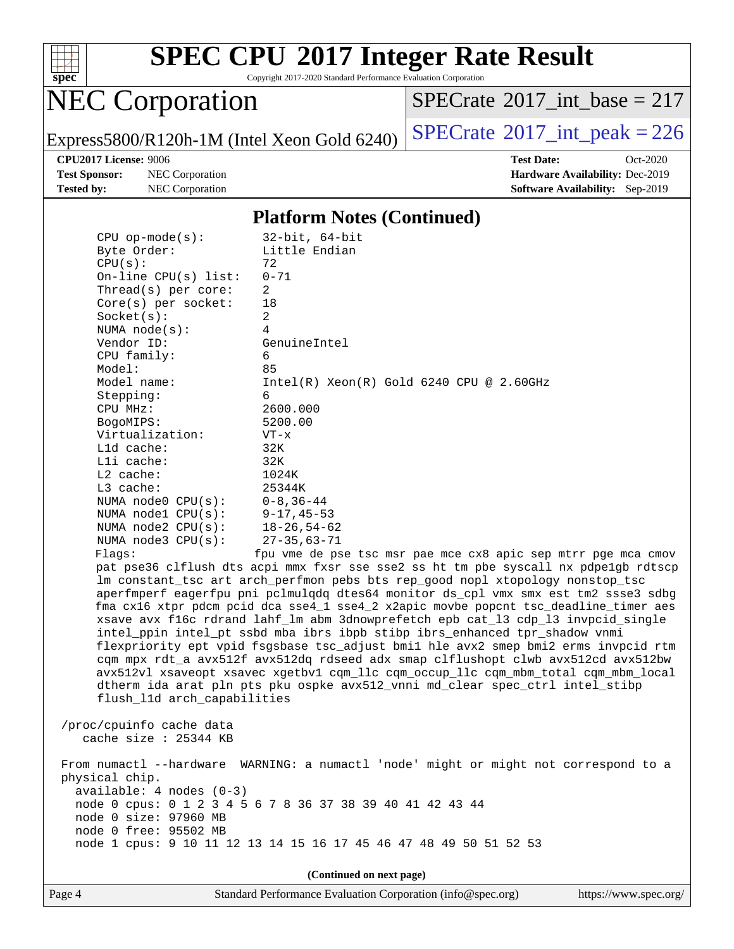

Copyright 2017-2020 Standard Performance Evaluation Corporation

# NEC Corporation

 $SPECTate$ <sup>®</sup>[2017\\_int\\_base =](http://www.spec.org/auto/cpu2017/Docs/result-fields.html#SPECrate2017intbase) 217

Express5800/R120h-1M (Intel Xeon Gold 6240)  $\left|$  [SPECrate](http://www.spec.org/auto/cpu2017/Docs/result-fields.html#SPECrate2017intpeak)<sup>®</sup>[2017\\_int\\_peak = 2](http://www.spec.org/auto/cpu2017/Docs/result-fields.html#SPECrate2017intpeak)26

**[Test Sponsor:](http://www.spec.org/auto/cpu2017/Docs/result-fields.html#TestSponsor)** NEC Corporation **[Hardware Availability:](http://www.spec.org/auto/cpu2017/Docs/result-fields.html#HardwareAvailability)** Dec-2019 **[Tested by:](http://www.spec.org/auto/cpu2017/Docs/result-fields.html#Testedby)** NEC Corporation **[Software Availability:](http://www.spec.org/auto/cpu2017/Docs/result-fields.html#SoftwareAvailability)** Sep-2019

**[CPU2017 License:](http://www.spec.org/auto/cpu2017/Docs/result-fields.html#CPU2017License)** 9006 **[Test Date:](http://www.spec.org/auto/cpu2017/Docs/result-fields.html#TestDate)** Oct-2020

#### **[Platform Notes \(Continued\)](http://www.spec.org/auto/cpu2017/Docs/result-fields.html#PlatformNotes)**

| $CPU$ op-mode $(s)$ :            | $32$ -bit, $64$ -bit                                                                 |
|----------------------------------|--------------------------------------------------------------------------------------|
| Byte Order:                      | Little Endian                                                                        |
| CPU(s):                          | 72                                                                                   |
| $On$ -line CPU $(s)$ list:       | $0 - 71$                                                                             |
| Thread( $s$ ) per core:          | 2                                                                                    |
| $Core(s)$ per socket:            | 18                                                                                   |
| Socket(s):                       | 2                                                                                    |
| NUMA $node(s)$ :                 | 4                                                                                    |
| Vendor ID:                       | GenuineIntel                                                                         |
| CPU family:                      | 6                                                                                    |
| Model:                           | 85                                                                                   |
| Model name:                      | $Intel(R)$ Xeon $(R)$ Gold 6240 CPU @ 2.60GHz                                        |
| Stepping:                        | 6                                                                                    |
| CPU MHz:                         | 2600.000                                                                             |
| BogoMIPS:                        | 5200.00                                                                              |
| Virtualization:                  | $VT - x$                                                                             |
| L1d cache:                       | 32K                                                                                  |
| $L1i$ cache:                     | 32K                                                                                  |
| L2 cache:                        | 1024K                                                                                |
| $L3$ cache:                      | 25344K                                                                               |
| NUMA $node0$ $CPU(s):$           | $0 - 8$ , 36-44                                                                      |
| NUMA node1 $CPU(s): 9-17, 45-53$ |                                                                                      |
| NUMA $node2$ $CPU(s):$           | $18 - 26,54 - 62$                                                                    |
| NUMA node3 CPU(s):               | $27 - 35,63 - 71$                                                                    |
| Flaqs:                           | fpu vme de pse tsc msr pae mce cx8 apic sep mtrr pqe mca cmov                        |
|                                  | pat pse36 clflush dts acpi mmx fxsr sse sse2 ss ht tm pbe syscall nx pdpe1gb rdtscp  |
|                                  | Im constant_tsc art arch_perfmon pebs bts rep_good nopl xtopology nonstop_tsc        |
|                                  | aperfmperf eagerfpu pni pclmulqdq dtes64 monitor ds_cpl vmx smx est tm2 ssse3 sdbg   |
|                                  | fma cx16 xtpr pdcm pcid dca sse4_1 sse4_2 x2apic movbe popcnt tsc_deadline_timer aes |
|                                  | xsave avx f16c rdrand lahf_lm abm 3dnowprefetch epb cat_13 cdp_13 invpcid_single     |
|                                  | intel_ppin intel_pt ssbd mba ibrs ibpb stibp ibrs_enhanced tpr_shadow vnmi           |
|                                  | flexpriority ept vpid fsgsbase tsc_adjust bmil hle avx2 smep bmi2 erms invpcid rtm   |
|                                  |                                                                                      |

flexpries invpcid rtm cqm mpx rdt\_a avx512f avx512dq rdseed adx smap clflushopt clwb avx512cd avx512bw avx512vl xsaveopt xsavec xgetbv1 cqm\_llc cqm\_occup\_llc cqm\_mbm\_total cqm\_mbm\_local dtherm ida arat pln pts pku ospke avx512\_vnni md\_clear spec\_ctrl intel\_stibp flush\_l1d arch\_capabilities

 /proc/cpuinfo cache data cache size : 25344 KB

 From numactl --hardware WARNING: a numactl 'node' might or might not correspond to a physical chip. available: 4 nodes (0-3) node 0 cpus: 0 1 2 3 4 5 6 7 8 36 37 38 39 40 41 42 43 44 node 0 size: 97960 MB node 0 free: 95502 MB node 1 cpus: 9 10 11 12 13 14 15 16 17 45 46 47 48 49 50 51 52 53

**(Continued on next page)**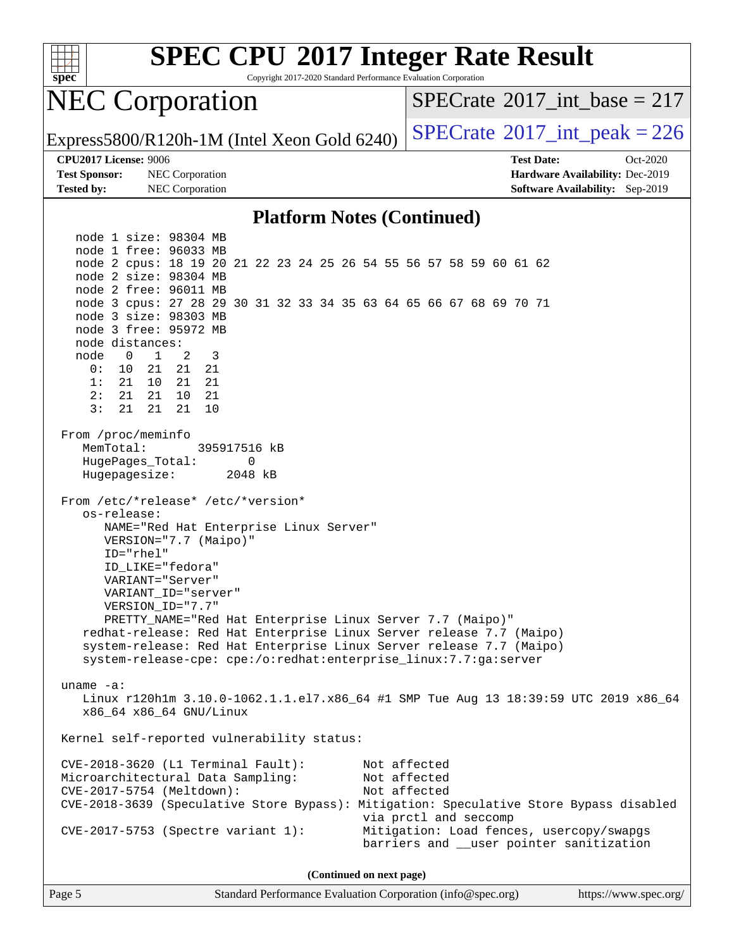

Copyright 2017-2020 Standard Performance Evaluation Corporation

# NEC Corporation

 $SPECTate$ <sup>®</sup>[2017\\_int\\_base =](http://www.spec.org/auto/cpu2017/Docs/result-fields.html#SPECrate2017intbase) 217

Express5800/R120h-1M (Intel Xeon Gold 6240)  $\left|$  [SPECrate](http://www.spec.org/auto/cpu2017/Docs/result-fields.html#SPECrate2017intpeak)<sup>®</sup>[2017\\_int\\_peak = 2](http://www.spec.org/auto/cpu2017/Docs/result-fields.html#SPECrate2017intpeak)26

**[Test Sponsor:](http://www.spec.org/auto/cpu2017/Docs/result-fields.html#TestSponsor)** NEC Corporation **[Hardware Availability:](http://www.spec.org/auto/cpu2017/Docs/result-fields.html#HardwareAvailability)** Dec-2019 **[Tested by:](http://www.spec.org/auto/cpu2017/Docs/result-fields.html#Testedby)** NEC Corporation **[Software Availability:](http://www.spec.org/auto/cpu2017/Docs/result-fields.html#SoftwareAvailability)** Sep-2019

**[CPU2017 License:](http://www.spec.org/auto/cpu2017/Docs/result-fields.html#CPU2017License)** 9006 **[Test Date:](http://www.spec.org/auto/cpu2017/Docs/result-fields.html#TestDate)** Oct-2020

#### **[Platform Notes \(Continued\)](http://www.spec.org/auto/cpu2017/Docs/result-fields.html#PlatformNotes)**

 node 1 size: 98304 MB node 1 free: 96033 MB node 2 cpus: 18 19 20 21 22 23 24 25 26 54 55 56 57 58 59 60 61 62 node 2 size: 98304 MB node 2 free: 96011 MB node 3 cpus: 27 28 29 30 31 32 33 34 35 63 64 65 66 67 68 69 70 71 node 3 size: 98303 MB node 3 free: 95972 MB node distances: node 0 1 2 3 0: 10 21 21 21 1: 21 10 21 21 2: 21 21 10 21 3: 21 21 21 10 From /proc/meminfo MemTotal: 395917516 kB HugePages\_Total: 0 Hugepagesize: 2048 kB From /etc/\*release\* /etc/\*version\* os-release: NAME="Red Hat Enterprise Linux Server" VERSION="7.7 (Maipo)" ID="rhel" ID\_LIKE="fedora" VARIANT="Server" VARIANT\_ID="server" VERSION\_ID="7.7" PRETTY\_NAME="Red Hat Enterprise Linux Server 7.7 (Maipo)" redhat-release: Red Hat Enterprise Linux Server release 7.7 (Maipo) system-release: Red Hat Enterprise Linux Server release 7.7 (Maipo) system-release-cpe: cpe:/o:redhat:enterprise\_linux:7.7:ga:server uname -a: Linux r120h1m 3.10.0-1062.1.1.el7.x86\_64 #1 SMP Tue Aug 13 18:39:59 UTC 2019 x86\_64 x86\_64 x86\_64 GNU/Linux Kernel self-reported vulnerability status: CVE-2018-3620 (L1 Terminal Fault): Not affected Microarchitectural Data Sampling: Not affected CVE-2017-5754 (Meltdown): Not affected CVE-2018-3639 (Speculative Store Bypass): Mitigation: Speculative Store Bypass disabled via prctl and seccomp CVE-2017-5753 (Spectre variant 1): Mitigation: Load fences, usercopy/swapgs barriers and \_\_user pointer sanitization

**(Continued on next page)**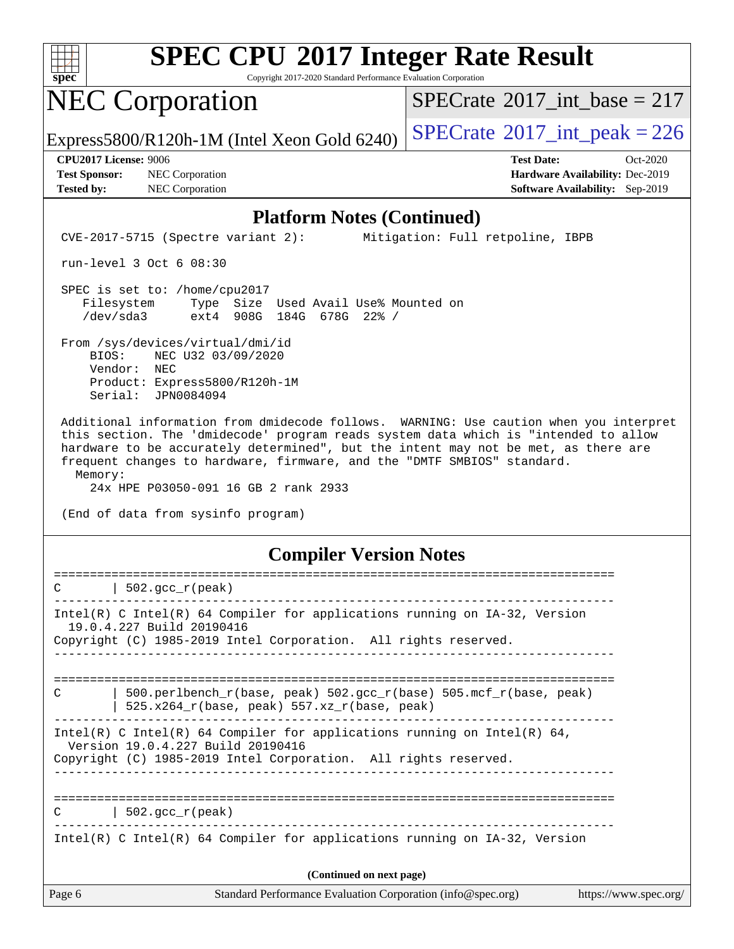

Copyright 2017-2020 Standard Performance Evaluation Corporation

## NEC Corporation

 $SPECTate$ <sup>®</sup>[2017\\_int\\_base =](http://www.spec.org/auto/cpu2017/Docs/result-fields.html#SPECrate2017intbase) 217

Express5800/R120h-1M (Intel Xeon Gold 6240)  $\left|$  [SPECrate](http://www.spec.org/auto/cpu2017/Docs/result-fields.html#SPECrate2017intpeak)<sup>®</sup>[2017\\_int\\_peak = 2](http://www.spec.org/auto/cpu2017/Docs/result-fields.html#SPECrate2017intpeak)26

**[Test Sponsor:](http://www.spec.org/auto/cpu2017/Docs/result-fields.html#TestSponsor)** NEC Corporation **[Hardware Availability:](http://www.spec.org/auto/cpu2017/Docs/result-fields.html#HardwareAvailability)** Dec-2019 **[Tested by:](http://www.spec.org/auto/cpu2017/Docs/result-fields.html#Testedby)** NEC Corporation **[Software Availability:](http://www.spec.org/auto/cpu2017/Docs/result-fields.html#SoftwareAvailability)** Sep-2019

**[CPU2017 License:](http://www.spec.org/auto/cpu2017/Docs/result-fields.html#CPU2017License)** 9006 **[Test Date:](http://www.spec.org/auto/cpu2017/Docs/result-fields.html#TestDate)** Oct-2020

#### **[Platform Notes \(Continued\)](http://www.spec.org/auto/cpu2017/Docs/result-fields.html#PlatformNotes)**

CVE-2017-5715 (Spectre variant 2): Mitigation: Full retpoline, IBPB

run-level 3 Oct 6 08:30

 SPEC is set to: /home/cpu2017 Filesystem Type Size Used Avail Use% Mounted on /dev/sda3 ext4 908G 184G 678G 22% /

 From /sys/devices/virtual/dmi/id BIOS: NEC U32 03/09/2020 Vendor: NEC Product: Express5800/R120h-1M Serial: JPN0084094

 Additional information from dmidecode follows. WARNING: Use caution when you interpret this section. The 'dmidecode' program reads system data which is "intended to allow hardware to be accurately determined", but the intent may not be met, as there are frequent changes to hardware, firmware, and the "DMTF SMBIOS" standard. Memory:

24x HPE P03050-091 16 GB 2 rank 2933

(End of data from sysinfo program)

#### **[Compiler Version Notes](http://www.spec.org/auto/cpu2017/Docs/result-fields.html#CompilerVersionNotes)**

| C             | $502.\text{gcc\_r}(\text{peak})$                                                                                                                                                 |                       |
|---------------|----------------------------------------------------------------------------------------------------------------------------------------------------------------------------------|-----------------------|
|               | Intel(R) C Intel(R) 64 Compiler for applications running on $IA-32$ , Version<br>19.0.4.227 Build 20190416<br>Copyright (C) 1985-2019 Intel Corporation. All rights reserved.    |                       |
| $\mathcal{C}$ | 500.perlbench $r(base, peak)$ 502.qcc $r(base)$ 505.mcf $r(base, peak)$<br>$525.x264_r(base, peak) 557.xz_r(base, peak)$                                                         |                       |
|               | Intel(R) C Intel(R) 64 Compiler for applications running on Intel(R) 64,<br>Version 19.0.4.227 Build 20190416<br>Copyright (C) 1985-2019 Intel Corporation. All rights reserved. |                       |
| $\mathcal{C}$ | $502.\text{gcc\_r}(\text{peak})$                                                                                                                                                 |                       |
|               | Intel(R) C Intel(R) 64 Compiler for applications running on $IA-32$ , Version                                                                                                    |                       |
|               | (Continued on next page)                                                                                                                                                         |                       |
| Page 6        | Standard Performance Evaluation Corporation (info@spec.org)                                                                                                                      | https://www.spec.org/ |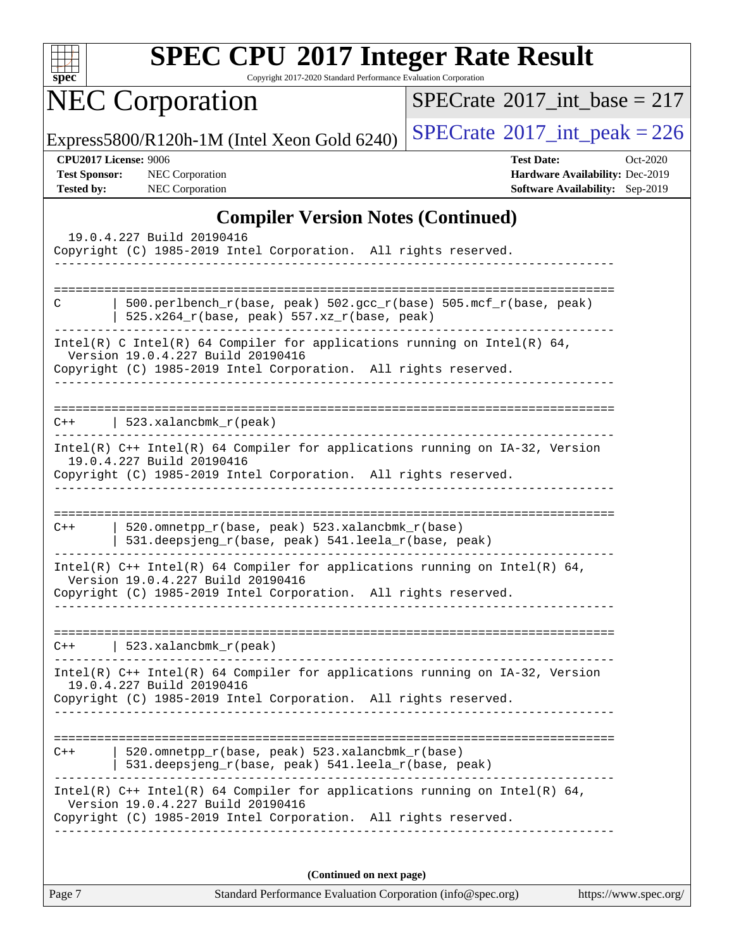

Copyright 2017-2020 Standard Performance Evaluation Corporation

NEC Corporation

 $SPECrate$ <sup>®</sup>[2017\\_int\\_base =](http://www.spec.org/auto/cpu2017/Docs/result-fields.html#SPECrate2017intbase) 217

Express5800/R120h-1M (Intel Xeon Gold 6240)  $\left|$  [SPECrate](http://www.spec.org/auto/cpu2017/Docs/result-fields.html#SPECrate2017intpeak)<sup>®</sup>[2017\\_int\\_peak = 2](http://www.spec.org/auto/cpu2017/Docs/result-fields.html#SPECrate2017intpeak)26

| <b>CPU2017 License: 9006</b> |  |
|------------------------------|--|
|------------------------------|--|

**[CPU2017 License:](http://www.spec.org/auto/cpu2017/Docs/result-fields.html#CPU2017License)** 9006 **[Test Date:](http://www.spec.org/auto/cpu2017/Docs/result-fields.html#TestDate)** Oct-2020 **[Test Sponsor:](http://www.spec.org/auto/cpu2017/Docs/result-fields.html#TestSponsor)** NEC Corporation **[Hardware Availability:](http://www.spec.org/auto/cpu2017/Docs/result-fields.html#HardwareAvailability)** Dec-2019 **[Tested by:](http://www.spec.org/auto/cpu2017/Docs/result-fields.html#Testedby)** NEC Corporation **[Software Availability:](http://www.spec.org/auto/cpu2017/Docs/result-fields.html#SoftwareAvailability)** Sep-2019

#### **[Compiler Version Notes \(Continued\)](http://www.spec.org/auto/cpu2017/Docs/result-fields.html#CompilerVersionNotes)**

| 19.0.4.227 Build 20190416                                                                                                                                                            |  |  |  |  |  |
|--------------------------------------------------------------------------------------------------------------------------------------------------------------------------------------|--|--|--|--|--|
| Copyright (C) 1985-2019 Intel Corporation. All rights reserved.                                                                                                                      |  |  |  |  |  |
| 500.perlbench_r(base, peak) 502.gcc_r(base) 505.mcf_r(base, peak)<br>C<br>525.x264_r(base, peak) 557.xz_r(base, peak)                                                                |  |  |  |  |  |
| Intel(R) C Intel(R) 64 Compiler for applications running on Intel(R) 64,<br>Version 19.0.4.227 Build 20190416<br>Copyright (C) 1985-2019 Intel Corporation. All rights reserved.     |  |  |  |  |  |
| $523.xalanchm k_r (peak)$<br>$C++$                                                                                                                                                   |  |  |  |  |  |
| $Intel(R)$ C++ Intel(R) 64 Compiler for applications running on $IA-32$ , Version<br>19.0.4.227 Build 20190416<br>Copyright (C) 1985-2019 Intel Corporation. All rights reserved.    |  |  |  |  |  |
| 520.omnetpp_r(base, peak) 523.xalancbmk_r(base)<br>$C++$<br>531.deepsjeng_r(base, peak) 541.leela_r(base, peak)                                                                      |  |  |  |  |  |
| Intel(R) $C++$ Intel(R) 64 Compiler for applications running on Intel(R) 64,<br>Version 19.0.4.227 Build 20190416<br>Copyright (C) 1985-2019 Intel Corporation. All rights reserved. |  |  |  |  |  |
| 523.xalancbmk_r(peak)<br>$C++$                                                                                                                                                       |  |  |  |  |  |
| Intel(R) C++ Intel(R) 64 Compiler for applications running on IA-32, Version<br>19.0.4.227 Build 20190416<br>Copyright (C) 1985-2019 Intel Corporation. All rights reserved.         |  |  |  |  |  |
| 520.omnetpp_r(base, peak) 523.xalancbmk_r(base)<br>$C++$<br>531.deepsjeng_r(base, peak) 541.leela_r(base, peak)                                                                      |  |  |  |  |  |
| Intel(R) $C++$ Intel(R) 64 Compiler for applications running on Intel(R) 64,<br>Version 19.0.4.227 Build 20190416<br>Copyright (C) 1985-2019 Intel Corporation. All rights reserved. |  |  |  |  |  |
| (Continued on next page)                                                                                                                                                             |  |  |  |  |  |

Page 7 Standard Performance Evaluation Corporation [\(info@spec.org\)](mailto:info@spec.org) <https://www.spec.org/>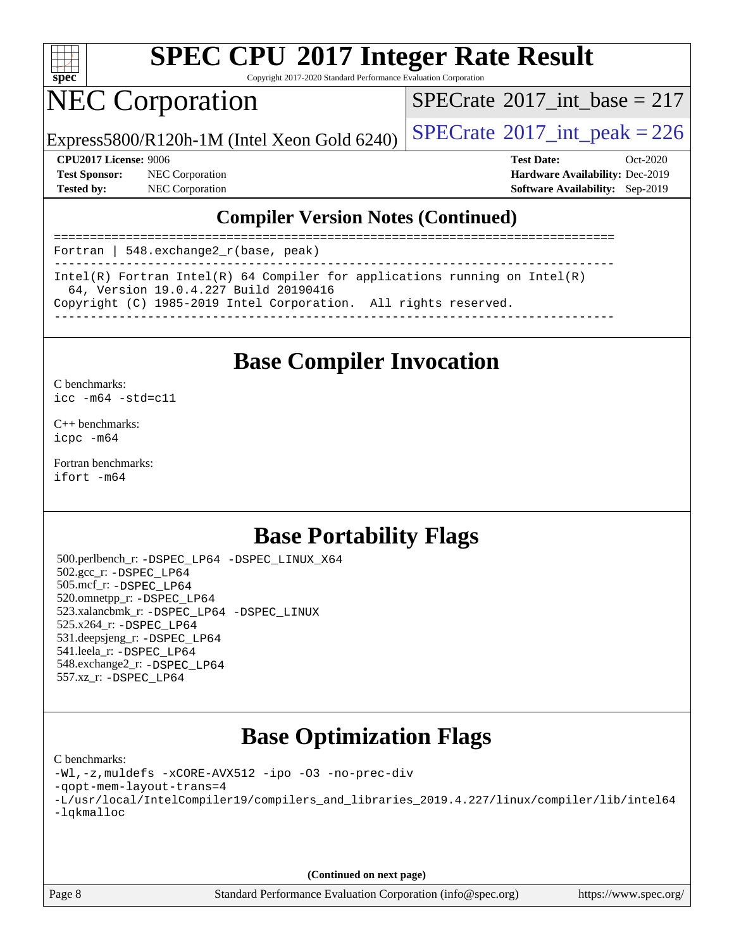

Copyright 2017-2020 Standard Performance Evaluation Corporation

# NEC Corporation

 $SPECTate$ <sup>®</sup>[2017\\_int\\_base =](http://www.spec.org/auto/cpu2017/Docs/result-fields.html#SPECrate2017intbase) 217

Express5800/R120h-1M (Intel Xeon Gold 6240)  $\left|$  [SPECrate](http://www.spec.org/auto/cpu2017/Docs/result-fields.html#SPECrate2017intpeak)<sup>®</sup>[2017\\_int\\_peak = 2](http://www.spec.org/auto/cpu2017/Docs/result-fields.html#SPECrate2017intpeak)26

**[Test Sponsor:](http://www.spec.org/auto/cpu2017/Docs/result-fields.html#TestSponsor)** NEC Corporation **[Hardware Availability:](http://www.spec.org/auto/cpu2017/Docs/result-fields.html#HardwareAvailability)** Dec-2019

**[CPU2017 License:](http://www.spec.org/auto/cpu2017/Docs/result-fields.html#CPU2017License)** 9006 **[Test Date:](http://www.spec.org/auto/cpu2017/Docs/result-fields.html#TestDate)** Oct-2020 **[Tested by:](http://www.spec.org/auto/cpu2017/Docs/result-fields.html#Testedby)** NEC Corporation **[Software Availability:](http://www.spec.org/auto/cpu2017/Docs/result-fields.html#SoftwareAvailability)** Sep-2019

#### **[Compiler Version Notes \(Continued\)](http://www.spec.org/auto/cpu2017/Docs/result-fields.html#CompilerVersionNotes)**

| Fortran   548.exchange $2_r$ (base, peak)                                                                           |
|---------------------------------------------------------------------------------------------------------------------|
| Intel(R) Fortran Intel(R) 64 Compiler for applications running on Intel(R)<br>64, Version 19.0.4.227 Build 20190416 |
| Copyright (C) 1985-2019 Intel Corporation. All rights reserved.                                                     |

### **[Base Compiler Invocation](http://www.spec.org/auto/cpu2017/Docs/result-fields.html#BaseCompilerInvocation)**

[C benchmarks](http://www.spec.org/auto/cpu2017/Docs/result-fields.html#Cbenchmarks): [icc -m64 -std=c11](http://www.spec.org/cpu2017/results/res2020q4/cpu2017-20201012-24178.flags.html#user_CCbase_intel_icc_64bit_c11_33ee0cdaae7deeeab2a9725423ba97205ce30f63b9926c2519791662299b76a0318f32ddfffdc46587804de3178b4f9328c46fa7c2b0cd779d7a61945c91cd35)

[C++ benchmarks:](http://www.spec.org/auto/cpu2017/Docs/result-fields.html#CXXbenchmarks) [icpc -m64](http://www.spec.org/cpu2017/results/res2020q4/cpu2017-20201012-24178.flags.html#user_CXXbase_intel_icpc_64bit_4ecb2543ae3f1412ef961e0650ca070fec7b7afdcd6ed48761b84423119d1bf6bdf5cad15b44d48e7256388bc77273b966e5eb805aefd121eb22e9299b2ec9d9)

[Fortran benchmarks](http://www.spec.org/auto/cpu2017/Docs/result-fields.html#Fortranbenchmarks): [ifort -m64](http://www.spec.org/cpu2017/results/res2020q4/cpu2017-20201012-24178.flags.html#user_FCbase_intel_ifort_64bit_24f2bb282fbaeffd6157abe4f878425411749daecae9a33200eee2bee2fe76f3b89351d69a8130dd5949958ce389cf37ff59a95e7a40d588e8d3a57e0c3fd751)

### **[Base Portability Flags](http://www.spec.org/auto/cpu2017/Docs/result-fields.html#BasePortabilityFlags)**

 500.perlbench\_r: [-DSPEC\\_LP64](http://www.spec.org/cpu2017/results/res2020q4/cpu2017-20201012-24178.flags.html#b500.perlbench_r_basePORTABILITY_DSPEC_LP64) [-DSPEC\\_LINUX\\_X64](http://www.spec.org/cpu2017/results/res2020q4/cpu2017-20201012-24178.flags.html#b500.perlbench_r_baseCPORTABILITY_DSPEC_LINUX_X64) 502.gcc\_r: [-DSPEC\\_LP64](http://www.spec.org/cpu2017/results/res2020q4/cpu2017-20201012-24178.flags.html#suite_basePORTABILITY502_gcc_r_DSPEC_LP64) 505.mcf\_r: [-DSPEC\\_LP64](http://www.spec.org/cpu2017/results/res2020q4/cpu2017-20201012-24178.flags.html#suite_basePORTABILITY505_mcf_r_DSPEC_LP64) 520.omnetpp\_r: [-DSPEC\\_LP64](http://www.spec.org/cpu2017/results/res2020q4/cpu2017-20201012-24178.flags.html#suite_basePORTABILITY520_omnetpp_r_DSPEC_LP64) 523.xalancbmk\_r: [-DSPEC\\_LP64](http://www.spec.org/cpu2017/results/res2020q4/cpu2017-20201012-24178.flags.html#suite_basePORTABILITY523_xalancbmk_r_DSPEC_LP64) [-DSPEC\\_LINUX](http://www.spec.org/cpu2017/results/res2020q4/cpu2017-20201012-24178.flags.html#b523.xalancbmk_r_baseCXXPORTABILITY_DSPEC_LINUX) 525.x264\_r: [-DSPEC\\_LP64](http://www.spec.org/cpu2017/results/res2020q4/cpu2017-20201012-24178.flags.html#suite_basePORTABILITY525_x264_r_DSPEC_LP64) 531.deepsjeng\_r: [-DSPEC\\_LP64](http://www.spec.org/cpu2017/results/res2020q4/cpu2017-20201012-24178.flags.html#suite_basePORTABILITY531_deepsjeng_r_DSPEC_LP64) 541.leela\_r: [-DSPEC\\_LP64](http://www.spec.org/cpu2017/results/res2020q4/cpu2017-20201012-24178.flags.html#suite_basePORTABILITY541_leela_r_DSPEC_LP64) 548.exchange2\_r: [-DSPEC\\_LP64](http://www.spec.org/cpu2017/results/res2020q4/cpu2017-20201012-24178.flags.html#suite_basePORTABILITY548_exchange2_r_DSPEC_LP64) 557.xz\_r: [-DSPEC\\_LP64](http://www.spec.org/cpu2017/results/res2020q4/cpu2017-20201012-24178.flags.html#suite_basePORTABILITY557_xz_r_DSPEC_LP64)

### **[Base Optimization Flags](http://www.spec.org/auto/cpu2017/Docs/result-fields.html#BaseOptimizationFlags)**

#### [C benchmarks](http://www.spec.org/auto/cpu2017/Docs/result-fields.html#Cbenchmarks):

```
-Wl,-z,muldefs -xCORE-AVX512 -ipo -O3 -no-prec-div
-qopt-mem-layout-trans=4
-L/usr/local/IntelCompiler19/compilers_and_libraries_2019.4.227/linux/compiler/lib/intel64
-lqkmalloc
```
**(Continued on next page)**

Page 8 Standard Performance Evaluation Corporation [\(info@spec.org\)](mailto:info@spec.org) <https://www.spec.org/>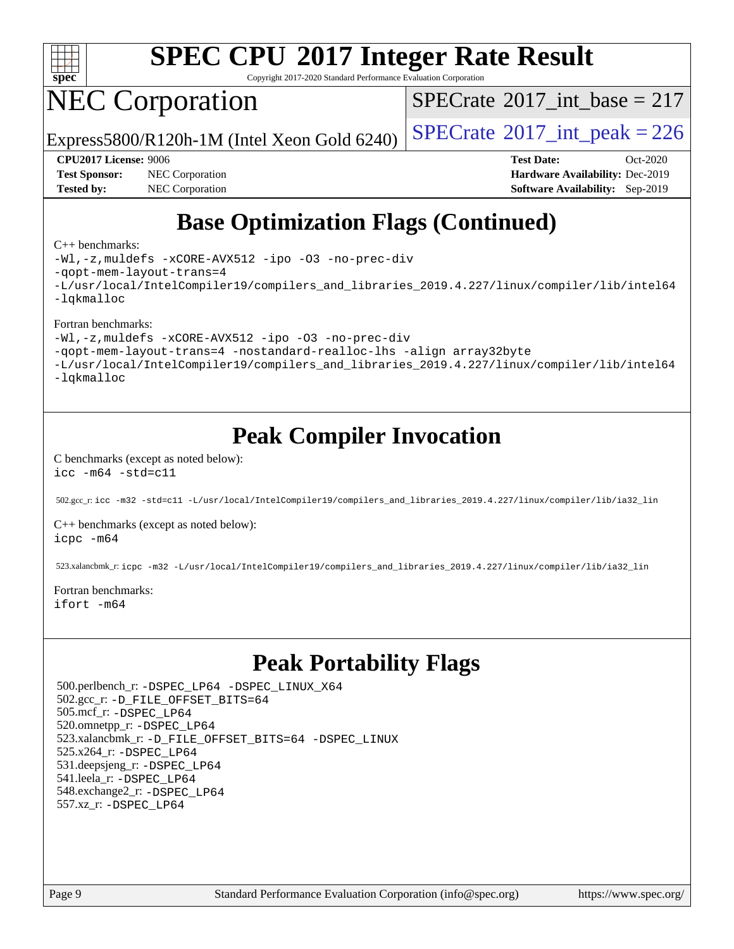

Copyright 2017-2020 Standard Performance Evaluation Corporation

# NEC Corporation

 $SPECTate$ <sup>®</sup>[2017\\_int\\_base =](http://www.spec.org/auto/cpu2017/Docs/result-fields.html#SPECrate2017intbase) 217

Express5800/R120h-1M (Intel Xeon Gold 6240)  $\left|$  [SPECrate](http://www.spec.org/auto/cpu2017/Docs/result-fields.html#SPECrate2017intpeak)<sup>®</sup>[2017\\_int\\_peak = 2](http://www.spec.org/auto/cpu2017/Docs/result-fields.html#SPECrate2017intpeak)26

**[Test Sponsor:](http://www.spec.org/auto/cpu2017/Docs/result-fields.html#TestSponsor)** NEC Corporation **[Hardware Availability:](http://www.spec.org/auto/cpu2017/Docs/result-fields.html#HardwareAvailability)** Dec-2019 **[Tested by:](http://www.spec.org/auto/cpu2017/Docs/result-fields.html#Testedby)** NEC Corporation **[Software Availability:](http://www.spec.org/auto/cpu2017/Docs/result-fields.html#SoftwareAvailability)** Sep-2019

**[CPU2017 License:](http://www.spec.org/auto/cpu2017/Docs/result-fields.html#CPU2017License)** 9006 **[Test Date:](http://www.spec.org/auto/cpu2017/Docs/result-fields.html#TestDate)** Oct-2020

## **[Base Optimization Flags \(Continued\)](http://www.spec.org/auto/cpu2017/Docs/result-fields.html#BaseOptimizationFlags)**

#### [C++ benchmarks:](http://www.spec.org/auto/cpu2017/Docs/result-fields.html#CXXbenchmarks)

[-Wl,-z,muldefs](http://www.spec.org/cpu2017/results/res2020q4/cpu2017-20201012-24178.flags.html#user_CXXbase_link_force_multiple1_b4cbdb97b34bdee9ceefcfe54f4c8ea74255f0b02a4b23e853cdb0e18eb4525ac79b5a88067c842dd0ee6996c24547a27a4b99331201badda8798ef8a743f577) [-xCORE-AVX512](http://www.spec.org/cpu2017/results/res2020q4/cpu2017-20201012-24178.flags.html#user_CXXbase_f-xCORE-AVX512) [-ipo](http://www.spec.org/cpu2017/results/res2020q4/cpu2017-20201012-24178.flags.html#user_CXXbase_f-ipo) [-O3](http://www.spec.org/cpu2017/results/res2020q4/cpu2017-20201012-24178.flags.html#user_CXXbase_f-O3) [-no-prec-div](http://www.spec.org/cpu2017/results/res2020q4/cpu2017-20201012-24178.flags.html#user_CXXbase_f-no-prec-div) [-qopt-mem-layout-trans=4](http://www.spec.org/cpu2017/results/res2020q4/cpu2017-20201012-24178.flags.html#user_CXXbase_f-qopt-mem-layout-trans_fa39e755916c150a61361b7846f310bcdf6f04e385ef281cadf3647acec3f0ae266d1a1d22d972a7087a248fd4e6ca390a3634700869573d231a252c784941a8) [-L/usr/local/IntelCompiler19/compilers\\_and\\_libraries\\_2019.4.227/linux/compiler/lib/intel64](http://www.spec.org/cpu2017/results/res2020q4/cpu2017-20201012-24178.flags.html#user_CXXbase_qkmalloc_link_0ffe0cb02c68ef1b443a077c7888c10c67ca0d1dd7138472156f06a085bbad385f78d49618ad55dca9db3b1608e84afc2f69b4003b1d1ca498a9fc1462ccefda) [-lqkmalloc](http://www.spec.org/cpu2017/results/res2020q4/cpu2017-20201012-24178.flags.html#user_CXXbase_qkmalloc_link_lib_79a818439969f771c6bc311cfd333c00fc099dad35c030f5aab9dda831713d2015205805422f83de8875488a2991c0a156aaa600e1f9138f8fc37004abc96dc5)

#### [Fortran benchmarks:](http://www.spec.org/auto/cpu2017/Docs/result-fields.html#Fortranbenchmarks)

[-Wl,-z,muldefs](http://www.spec.org/cpu2017/results/res2020q4/cpu2017-20201012-24178.flags.html#user_FCbase_link_force_multiple1_b4cbdb97b34bdee9ceefcfe54f4c8ea74255f0b02a4b23e853cdb0e18eb4525ac79b5a88067c842dd0ee6996c24547a27a4b99331201badda8798ef8a743f577) [-xCORE-AVX512](http://www.spec.org/cpu2017/results/res2020q4/cpu2017-20201012-24178.flags.html#user_FCbase_f-xCORE-AVX512) [-ipo](http://www.spec.org/cpu2017/results/res2020q4/cpu2017-20201012-24178.flags.html#user_FCbase_f-ipo) [-O3](http://www.spec.org/cpu2017/results/res2020q4/cpu2017-20201012-24178.flags.html#user_FCbase_f-O3) [-no-prec-div](http://www.spec.org/cpu2017/results/res2020q4/cpu2017-20201012-24178.flags.html#user_FCbase_f-no-prec-div)

[-qopt-mem-layout-trans=4](http://www.spec.org/cpu2017/results/res2020q4/cpu2017-20201012-24178.flags.html#user_FCbase_f-qopt-mem-layout-trans_fa39e755916c150a61361b7846f310bcdf6f04e385ef281cadf3647acec3f0ae266d1a1d22d972a7087a248fd4e6ca390a3634700869573d231a252c784941a8) [-nostandard-realloc-lhs](http://www.spec.org/cpu2017/results/res2020q4/cpu2017-20201012-24178.flags.html#user_FCbase_f_2003_std_realloc_82b4557e90729c0f113870c07e44d33d6f5a304b4f63d4c15d2d0f1fab99f5daaed73bdb9275d9ae411527f28b936061aa8b9c8f2d63842963b95c9dd6426b8a) [-align array32byte](http://www.spec.org/cpu2017/results/res2020q4/cpu2017-20201012-24178.flags.html#user_FCbase_align_array32byte_b982fe038af199962ba9a80c053b8342c548c85b40b8e86eb3cc33dee0d7986a4af373ac2d51c3f7cf710a18d62fdce2948f201cd044323541f22fc0fffc51b6)

[-L/usr/local/IntelCompiler19/compilers\\_and\\_libraries\\_2019.4.227/linux/compiler/lib/intel64](http://www.spec.org/cpu2017/results/res2020q4/cpu2017-20201012-24178.flags.html#user_FCbase_qkmalloc_link_0ffe0cb02c68ef1b443a077c7888c10c67ca0d1dd7138472156f06a085bbad385f78d49618ad55dca9db3b1608e84afc2f69b4003b1d1ca498a9fc1462ccefda) [-lqkmalloc](http://www.spec.org/cpu2017/results/res2020q4/cpu2017-20201012-24178.flags.html#user_FCbase_qkmalloc_link_lib_79a818439969f771c6bc311cfd333c00fc099dad35c030f5aab9dda831713d2015205805422f83de8875488a2991c0a156aaa600e1f9138f8fc37004abc96dc5)

### **[Peak Compiler Invocation](http://www.spec.org/auto/cpu2017/Docs/result-fields.html#PeakCompilerInvocation)**

#### [C benchmarks \(except as noted below\)](http://www.spec.org/auto/cpu2017/Docs/result-fields.html#Cbenchmarksexceptasnotedbelow): [icc -m64 -std=c11](http://www.spec.org/cpu2017/results/res2020q4/cpu2017-20201012-24178.flags.html#user_CCpeak_intel_icc_64bit_c11_33ee0cdaae7deeeab2a9725423ba97205ce30f63b9926c2519791662299b76a0318f32ddfffdc46587804de3178b4f9328c46fa7c2b0cd779d7a61945c91cd35)

502.gcc\_r: [icc -m32 -std=c11 -L/usr/local/IntelCompiler19/compilers\\_and\\_libraries\\_2019.4.227/linux/compiler/lib/ia32\\_lin](http://www.spec.org/cpu2017/results/res2020q4/cpu2017-20201012-24178.flags.html#user_peakCCLD502_gcc_r_intel_icc_38a193a897536fa645efb1dc6ac2bea2bddbbe56f130e144a606d1b2649003f27c79f8814020c1f9355cbbf0d7ab0d194a7a979ee1e2a95641bbb8cf571aac7b)

[C++ benchmarks \(except as noted below\)](http://www.spec.org/auto/cpu2017/Docs/result-fields.html#CXXbenchmarksexceptasnotedbelow): [icpc -m64](http://www.spec.org/cpu2017/results/res2020q4/cpu2017-20201012-24178.flags.html#user_CXXpeak_intel_icpc_64bit_4ecb2543ae3f1412ef961e0650ca070fec7b7afdcd6ed48761b84423119d1bf6bdf5cad15b44d48e7256388bc77273b966e5eb805aefd121eb22e9299b2ec9d9)

523.xalancbmk\_r: [icpc -m32 -L/usr/local/IntelCompiler19/compilers\\_and\\_libraries\\_2019.4.227/linux/compiler/lib/ia32\\_lin](http://www.spec.org/cpu2017/results/res2020q4/cpu2017-20201012-24178.flags.html#user_peakCXXLD523_xalancbmk_r_intel_icpc_840f965b38320ad10acba6032d6ca4c816e722c432c250f3408feae347068ba449f694544a48cf12cd3bde3495e328e6747ab0f629c2925d3062e2ee144af951)

#### [Fortran benchmarks](http://www.spec.org/auto/cpu2017/Docs/result-fields.html#Fortranbenchmarks): [ifort -m64](http://www.spec.org/cpu2017/results/res2020q4/cpu2017-20201012-24178.flags.html#user_FCpeak_intel_ifort_64bit_24f2bb282fbaeffd6157abe4f878425411749daecae9a33200eee2bee2fe76f3b89351d69a8130dd5949958ce389cf37ff59a95e7a40d588e8d3a57e0c3fd751)

## **[Peak Portability Flags](http://www.spec.org/auto/cpu2017/Docs/result-fields.html#PeakPortabilityFlags)**

 500.perlbench\_r: [-DSPEC\\_LP64](http://www.spec.org/cpu2017/results/res2020q4/cpu2017-20201012-24178.flags.html#b500.perlbench_r_peakPORTABILITY_DSPEC_LP64) [-DSPEC\\_LINUX\\_X64](http://www.spec.org/cpu2017/results/res2020q4/cpu2017-20201012-24178.flags.html#b500.perlbench_r_peakCPORTABILITY_DSPEC_LINUX_X64) 502.gcc\_r: [-D\\_FILE\\_OFFSET\\_BITS=64](http://www.spec.org/cpu2017/results/res2020q4/cpu2017-20201012-24178.flags.html#user_peakPORTABILITY502_gcc_r_file_offset_bits_64_5ae949a99b284ddf4e95728d47cb0843d81b2eb0e18bdfe74bbf0f61d0b064f4bda2f10ea5eb90e1dcab0e84dbc592acfc5018bc955c18609f94ddb8d550002c) 505.mcf\_r: [-DSPEC\\_LP64](http://www.spec.org/cpu2017/results/res2020q4/cpu2017-20201012-24178.flags.html#suite_peakPORTABILITY505_mcf_r_DSPEC_LP64) 520.omnetpp\_r: [-DSPEC\\_LP64](http://www.spec.org/cpu2017/results/res2020q4/cpu2017-20201012-24178.flags.html#suite_peakPORTABILITY520_omnetpp_r_DSPEC_LP64) 523.xalancbmk\_r: [-D\\_FILE\\_OFFSET\\_BITS=64](http://www.spec.org/cpu2017/results/res2020q4/cpu2017-20201012-24178.flags.html#user_peakPORTABILITY523_xalancbmk_r_file_offset_bits_64_5ae949a99b284ddf4e95728d47cb0843d81b2eb0e18bdfe74bbf0f61d0b064f4bda2f10ea5eb90e1dcab0e84dbc592acfc5018bc955c18609f94ddb8d550002c) [-DSPEC\\_LINUX](http://www.spec.org/cpu2017/results/res2020q4/cpu2017-20201012-24178.flags.html#b523.xalancbmk_r_peakCXXPORTABILITY_DSPEC_LINUX) 525.x264\_r: [-DSPEC\\_LP64](http://www.spec.org/cpu2017/results/res2020q4/cpu2017-20201012-24178.flags.html#suite_peakPORTABILITY525_x264_r_DSPEC_LP64) 531.deepsjeng\_r: [-DSPEC\\_LP64](http://www.spec.org/cpu2017/results/res2020q4/cpu2017-20201012-24178.flags.html#suite_peakPORTABILITY531_deepsjeng_r_DSPEC_LP64) 541.leela\_r: [-DSPEC\\_LP64](http://www.spec.org/cpu2017/results/res2020q4/cpu2017-20201012-24178.flags.html#suite_peakPORTABILITY541_leela_r_DSPEC_LP64) 548.exchange2\_r: [-DSPEC\\_LP64](http://www.spec.org/cpu2017/results/res2020q4/cpu2017-20201012-24178.flags.html#suite_peakPORTABILITY548_exchange2_r_DSPEC_LP64) 557.xz\_r: [-DSPEC\\_LP64](http://www.spec.org/cpu2017/results/res2020q4/cpu2017-20201012-24178.flags.html#suite_peakPORTABILITY557_xz_r_DSPEC_LP64)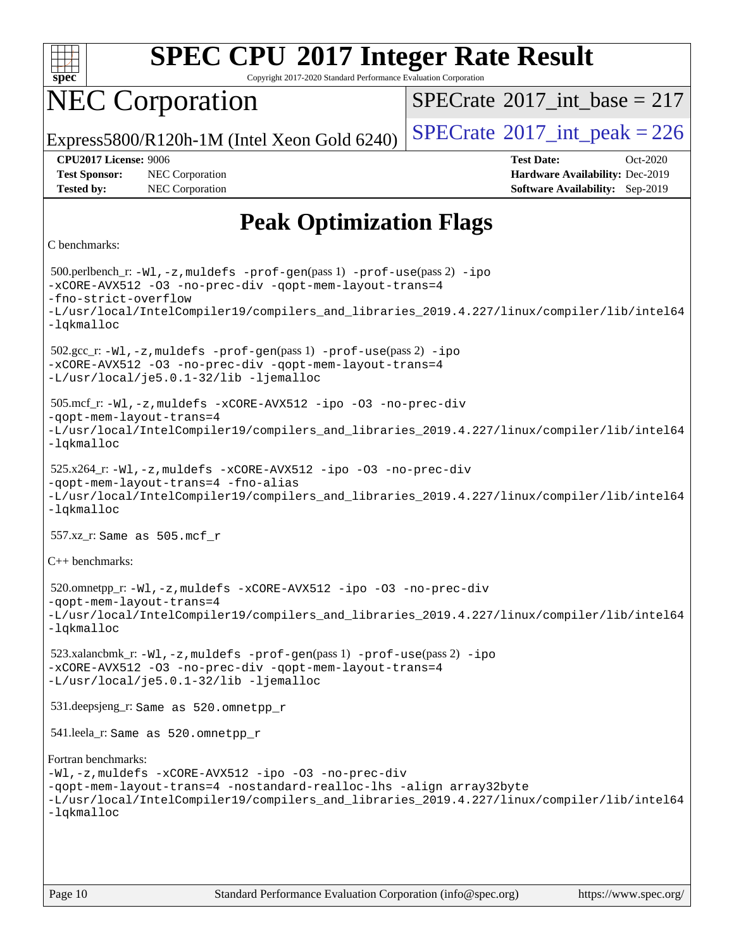

Copyright 2017-2020 Standard Performance Evaluation Corporation

## NEC Corporation

 $SPECTate$ <sup>®</sup>[2017\\_int\\_base =](http://www.spec.org/auto/cpu2017/Docs/result-fields.html#SPECrate2017intbase) 217

Express5800/R120h-1M (Intel Xeon Gold 6240)  $\left|$  [SPECrate](http://www.spec.org/auto/cpu2017/Docs/result-fields.html#SPECrate2017intpeak)<sup>®</sup>[2017\\_int\\_peak = 2](http://www.spec.org/auto/cpu2017/Docs/result-fields.html#SPECrate2017intpeak)26

**[Tested by:](http://www.spec.org/auto/cpu2017/Docs/result-fields.html#Testedby)** NEC Corporation **[Software Availability:](http://www.spec.org/auto/cpu2017/Docs/result-fields.html#SoftwareAvailability)** Sep-2019

**[CPU2017 License:](http://www.spec.org/auto/cpu2017/Docs/result-fields.html#CPU2017License)** 9006 **[Test Date:](http://www.spec.org/auto/cpu2017/Docs/result-fields.html#TestDate)** Oct-2020 **[Test Sponsor:](http://www.spec.org/auto/cpu2017/Docs/result-fields.html#TestSponsor)** NEC Corporation **[Hardware Availability:](http://www.spec.org/auto/cpu2017/Docs/result-fields.html#HardwareAvailability)** Dec-2019

## **[Peak Optimization Flags](http://www.spec.org/auto/cpu2017/Docs/result-fields.html#PeakOptimizationFlags)**

```
C benchmarks:
```
 500.perlbench\_r: [-Wl,-z,muldefs](http://www.spec.org/cpu2017/results/res2020q4/cpu2017-20201012-24178.flags.html#user_peakEXTRA_LDFLAGS500_perlbench_r_link_force_multiple1_b4cbdb97b34bdee9ceefcfe54f4c8ea74255f0b02a4b23e853cdb0e18eb4525ac79b5a88067c842dd0ee6996c24547a27a4b99331201badda8798ef8a743f577) [-prof-gen](http://www.spec.org/cpu2017/results/res2020q4/cpu2017-20201012-24178.flags.html#user_peakPASS1_CFLAGSPASS1_LDFLAGS500_perlbench_r_prof_gen_5aa4926d6013ddb2a31985c654b3eb18169fc0c6952a63635c234f711e6e63dd76e94ad52365559451ec499a2cdb89e4dc58ba4c67ef54ca681ffbe1461d6b36)(pass 1) [-prof-use](http://www.spec.org/cpu2017/results/res2020q4/cpu2017-20201012-24178.flags.html#user_peakPASS2_CFLAGSPASS2_LDFLAGS500_perlbench_r_prof_use_1a21ceae95f36a2b53c25747139a6c16ca95bd9def2a207b4f0849963b97e94f5260e30a0c64f4bb623698870e679ca08317ef8150905d41bd88c6f78df73f19)(pass 2) [-ipo](http://www.spec.org/cpu2017/results/res2020q4/cpu2017-20201012-24178.flags.html#user_peakPASS1_COPTIMIZEPASS2_COPTIMIZE500_perlbench_r_f-ipo) [-xCORE-AVX512](http://www.spec.org/cpu2017/results/res2020q4/cpu2017-20201012-24178.flags.html#user_peakPASS2_COPTIMIZE500_perlbench_r_f-xCORE-AVX512) [-O3](http://www.spec.org/cpu2017/results/res2020q4/cpu2017-20201012-24178.flags.html#user_peakPASS1_COPTIMIZEPASS2_COPTIMIZE500_perlbench_r_f-O3) [-no-prec-div](http://www.spec.org/cpu2017/results/res2020q4/cpu2017-20201012-24178.flags.html#user_peakPASS1_COPTIMIZEPASS2_COPTIMIZE500_perlbench_r_f-no-prec-div) [-qopt-mem-layout-trans=4](http://www.spec.org/cpu2017/results/res2020q4/cpu2017-20201012-24178.flags.html#user_peakPASS1_COPTIMIZEPASS2_COPTIMIZE500_perlbench_r_f-qopt-mem-layout-trans_fa39e755916c150a61361b7846f310bcdf6f04e385ef281cadf3647acec3f0ae266d1a1d22d972a7087a248fd4e6ca390a3634700869573d231a252c784941a8) [-fno-strict-overflow](http://www.spec.org/cpu2017/results/res2020q4/cpu2017-20201012-24178.flags.html#user_peakEXTRA_OPTIMIZE500_perlbench_r_f-fno-strict-overflow) [-L/usr/local/IntelCompiler19/compilers\\_and\\_libraries\\_2019.4.227/linux/compiler/lib/intel64](http://www.spec.org/cpu2017/results/res2020q4/cpu2017-20201012-24178.flags.html#user_peakEXTRA_LIBS500_perlbench_r_qkmalloc_link_0ffe0cb02c68ef1b443a077c7888c10c67ca0d1dd7138472156f06a085bbad385f78d49618ad55dca9db3b1608e84afc2f69b4003b1d1ca498a9fc1462ccefda) [-lqkmalloc](http://www.spec.org/cpu2017/results/res2020q4/cpu2017-20201012-24178.flags.html#user_peakEXTRA_LIBS500_perlbench_r_qkmalloc_link_lib_79a818439969f771c6bc311cfd333c00fc099dad35c030f5aab9dda831713d2015205805422f83de8875488a2991c0a156aaa600e1f9138f8fc37004abc96dc5) 502.gcc\_r: [-Wl,-z,muldefs](http://www.spec.org/cpu2017/results/res2020q4/cpu2017-20201012-24178.flags.html#user_peakEXTRA_LDFLAGS502_gcc_r_link_force_multiple1_b4cbdb97b34bdee9ceefcfe54f4c8ea74255f0b02a4b23e853cdb0e18eb4525ac79b5a88067c842dd0ee6996c24547a27a4b99331201badda8798ef8a743f577) [-prof-gen](http://www.spec.org/cpu2017/results/res2020q4/cpu2017-20201012-24178.flags.html#user_peakPASS1_CFLAGSPASS1_LDFLAGS502_gcc_r_prof_gen_5aa4926d6013ddb2a31985c654b3eb18169fc0c6952a63635c234f711e6e63dd76e94ad52365559451ec499a2cdb89e4dc58ba4c67ef54ca681ffbe1461d6b36)(pass 1) [-prof-use](http://www.spec.org/cpu2017/results/res2020q4/cpu2017-20201012-24178.flags.html#user_peakPASS2_CFLAGSPASS2_LDFLAGS502_gcc_r_prof_use_1a21ceae95f36a2b53c25747139a6c16ca95bd9def2a207b4f0849963b97e94f5260e30a0c64f4bb623698870e679ca08317ef8150905d41bd88c6f78df73f19)(pass 2) [-ipo](http://www.spec.org/cpu2017/results/res2020q4/cpu2017-20201012-24178.flags.html#user_peakPASS1_COPTIMIZEPASS2_COPTIMIZE502_gcc_r_f-ipo) [-xCORE-AVX512](http://www.spec.org/cpu2017/results/res2020q4/cpu2017-20201012-24178.flags.html#user_peakPASS2_COPTIMIZE502_gcc_r_f-xCORE-AVX512) [-O3](http://www.spec.org/cpu2017/results/res2020q4/cpu2017-20201012-24178.flags.html#user_peakPASS1_COPTIMIZEPASS2_COPTIMIZE502_gcc_r_f-O3) [-no-prec-div](http://www.spec.org/cpu2017/results/res2020q4/cpu2017-20201012-24178.flags.html#user_peakPASS1_COPTIMIZEPASS2_COPTIMIZE502_gcc_r_f-no-prec-div) [-qopt-mem-layout-trans=4](http://www.spec.org/cpu2017/results/res2020q4/cpu2017-20201012-24178.flags.html#user_peakPASS1_COPTIMIZEPASS2_COPTIMIZE502_gcc_r_f-qopt-mem-layout-trans_fa39e755916c150a61361b7846f310bcdf6f04e385ef281cadf3647acec3f0ae266d1a1d22d972a7087a248fd4e6ca390a3634700869573d231a252c784941a8) [-L/usr/local/je5.0.1-32/lib](http://www.spec.org/cpu2017/results/res2020q4/cpu2017-20201012-24178.flags.html#user_peakEXTRA_LIBS502_gcc_r_jemalloc_link_path32_e29f22e8e6c17053bbc6a0971f5a9c01a601a06bb1a59df2084b77a2fe0a2995b64fd4256feaeea39eeba3aae142e96e2b2b0a28974019c0c0c88139a84f900a) [-ljemalloc](http://www.spec.org/cpu2017/results/res2020q4/cpu2017-20201012-24178.flags.html#user_peakEXTRA_LIBS502_gcc_r_jemalloc_link_lib_d1249b907c500fa1c0672f44f562e3d0f79738ae9e3c4a9c376d49f265a04b9c99b167ecedbf6711b3085be911c67ff61f150a17b3472be731631ba4d0471706) 505.mcf\_r: [-Wl,-z,muldefs](http://www.spec.org/cpu2017/results/res2020q4/cpu2017-20201012-24178.flags.html#user_peakEXTRA_LDFLAGS505_mcf_r_link_force_multiple1_b4cbdb97b34bdee9ceefcfe54f4c8ea74255f0b02a4b23e853cdb0e18eb4525ac79b5a88067c842dd0ee6996c24547a27a4b99331201badda8798ef8a743f577) [-xCORE-AVX512](http://www.spec.org/cpu2017/results/res2020q4/cpu2017-20201012-24178.flags.html#user_peakCOPTIMIZE505_mcf_r_f-xCORE-AVX512) [-ipo](http://www.spec.org/cpu2017/results/res2020q4/cpu2017-20201012-24178.flags.html#user_peakCOPTIMIZE505_mcf_r_f-ipo) [-O3](http://www.spec.org/cpu2017/results/res2020q4/cpu2017-20201012-24178.flags.html#user_peakCOPTIMIZE505_mcf_r_f-O3) [-no-prec-div](http://www.spec.org/cpu2017/results/res2020q4/cpu2017-20201012-24178.flags.html#user_peakCOPTIMIZE505_mcf_r_f-no-prec-div) [-qopt-mem-layout-trans=4](http://www.spec.org/cpu2017/results/res2020q4/cpu2017-20201012-24178.flags.html#user_peakCOPTIMIZE505_mcf_r_f-qopt-mem-layout-trans_fa39e755916c150a61361b7846f310bcdf6f04e385ef281cadf3647acec3f0ae266d1a1d22d972a7087a248fd4e6ca390a3634700869573d231a252c784941a8) [-L/usr/local/IntelCompiler19/compilers\\_and\\_libraries\\_2019.4.227/linux/compiler/lib/intel64](http://www.spec.org/cpu2017/results/res2020q4/cpu2017-20201012-24178.flags.html#user_peakEXTRA_LIBS505_mcf_r_qkmalloc_link_0ffe0cb02c68ef1b443a077c7888c10c67ca0d1dd7138472156f06a085bbad385f78d49618ad55dca9db3b1608e84afc2f69b4003b1d1ca498a9fc1462ccefda) [-lqkmalloc](http://www.spec.org/cpu2017/results/res2020q4/cpu2017-20201012-24178.flags.html#user_peakEXTRA_LIBS505_mcf_r_qkmalloc_link_lib_79a818439969f771c6bc311cfd333c00fc099dad35c030f5aab9dda831713d2015205805422f83de8875488a2991c0a156aaa600e1f9138f8fc37004abc96dc5) 525.x264\_r: [-Wl,-z,muldefs](http://www.spec.org/cpu2017/results/res2020q4/cpu2017-20201012-24178.flags.html#user_peakEXTRA_LDFLAGS525_x264_r_link_force_multiple1_b4cbdb97b34bdee9ceefcfe54f4c8ea74255f0b02a4b23e853cdb0e18eb4525ac79b5a88067c842dd0ee6996c24547a27a4b99331201badda8798ef8a743f577) [-xCORE-AVX512](http://www.spec.org/cpu2017/results/res2020q4/cpu2017-20201012-24178.flags.html#user_peakCOPTIMIZE525_x264_r_f-xCORE-AVX512) [-ipo](http://www.spec.org/cpu2017/results/res2020q4/cpu2017-20201012-24178.flags.html#user_peakCOPTIMIZE525_x264_r_f-ipo) [-O3](http://www.spec.org/cpu2017/results/res2020q4/cpu2017-20201012-24178.flags.html#user_peakCOPTIMIZE525_x264_r_f-O3) [-no-prec-div](http://www.spec.org/cpu2017/results/res2020q4/cpu2017-20201012-24178.flags.html#user_peakCOPTIMIZE525_x264_r_f-no-prec-div) [-qopt-mem-layout-trans=4](http://www.spec.org/cpu2017/results/res2020q4/cpu2017-20201012-24178.flags.html#user_peakCOPTIMIZE525_x264_r_f-qopt-mem-layout-trans_fa39e755916c150a61361b7846f310bcdf6f04e385ef281cadf3647acec3f0ae266d1a1d22d972a7087a248fd4e6ca390a3634700869573d231a252c784941a8) [-fno-alias](http://www.spec.org/cpu2017/results/res2020q4/cpu2017-20201012-24178.flags.html#user_peakEXTRA_OPTIMIZE525_x264_r_f-no-alias_77dbac10d91cbfe898fbf4a29d1b29b694089caa623bdd1baccc9957d4edbe8d106c0b357e2748a65b44fc9e83d78098bb898077f3fe92f9faf24f7bd4a07ed7) [-L/usr/local/IntelCompiler19/compilers\\_and\\_libraries\\_2019.4.227/linux/compiler/lib/intel64](http://www.spec.org/cpu2017/results/res2020q4/cpu2017-20201012-24178.flags.html#user_peakEXTRA_LIBS525_x264_r_qkmalloc_link_0ffe0cb02c68ef1b443a077c7888c10c67ca0d1dd7138472156f06a085bbad385f78d49618ad55dca9db3b1608e84afc2f69b4003b1d1ca498a9fc1462ccefda) [-lqkmalloc](http://www.spec.org/cpu2017/results/res2020q4/cpu2017-20201012-24178.flags.html#user_peakEXTRA_LIBS525_x264_r_qkmalloc_link_lib_79a818439969f771c6bc311cfd333c00fc099dad35c030f5aab9dda831713d2015205805422f83de8875488a2991c0a156aaa600e1f9138f8fc37004abc96dc5) 557.xz\_r: Same as 505.mcf\_r [C++ benchmarks](http://www.spec.org/auto/cpu2017/Docs/result-fields.html#CXXbenchmarks): 520.omnetpp\_r: [-Wl,-z,muldefs](http://www.spec.org/cpu2017/results/res2020q4/cpu2017-20201012-24178.flags.html#user_peakEXTRA_LDFLAGS520_omnetpp_r_link_force_multiple1_b4cbdb97b34bdee9ceefcfe54f4c8ea74255f0b02a4b23e853cdb0e18eb4525ac79b5a88067c842dd0ee6996c24547a27a4b99331201badda8798ef8a743f577) [-xCORE-AVX512](http://www.spec.org/cpu2017/results/res2020q4/cpu2017-20201012-24178.flags.html#user_peakCXXOPTIMIZE520_omnetpp_r_f-xCORE-AVX512) [-ipo](http://www.spec.org/cpu2017/results/res2020q4/cpu2017-20201012-24178.flags.html#user_peakCXXOPTIMIZE520_omnetpp_r_f-ipo) [-O3](http://www.spec.org/cpu2017/results/res2020q4/cpu2017-20201012-24178.flags.html#user_peakCXXOPTIMIZE520_omnetpp_r_f-O3) [-no-prec-div](http://www.spec.org/cpu2017/results/res2020q4/cpu2017-20201012-24178.flags.html#user_peakCXXOPTIMIZE520_omnetpp_r_f-no-prec-div) [-qopt-mem-layout-trans=4](http://www.spec.org/cpu2017/results/res2020q4/cpu2017-20201012-24178.flags.html#user_peakCXXOPTIMIZE520_omnetpp_r_f-qopt-mem-layout-trans_fa39e755916c150a61361b7846f310bcdf6f04e385ef281cadf3647acec3f0ae266d1a1d22d972a7087a248fd4e6ca390a3634700869573d231a252c784941a8) [-L/usr/local/IntelCompiler19/compilers\\_and\\_libraries\\_2019.4.227/linux/compiler/lib/intel64](http://www.spec.org/cpu2017/results/res2020q4/cpu2017-20201012-24178.flags.html#user_peakEXTRA_LIBS520_omnetpp_r_qkmalloc_link_0ffe0cb02c68ef1b443a077c7888c10c67ca0d1dd7138472156f06a085bbad385f78d49618ad55dca9db3b1608e84afc2f69b4003b1d1ca498a9fc1462ccefda) [-lqkmalloc](http://www.spec.org/cpu2017/results/res2020q4/cpu2017-20201012-24178.flags.html#user_peakEXTRA_LIBS520_omnetpp_r_qkmalloc_link_lib_79a818439969f771c6bc311cfd333c00fc099dad35c030f5aab9dda831713d2015205805422f83de8875488a2991c0a156aaa600e1f9138f8fc37004abc96dc5) 523.xalancbmk\_r: [-Wl,-z,muldefs](http://www.spec.org/cpu2017/results/res2020q4/cpu2017-20201012-24178.flags.html#user_peakEXTRA_LDFLAGS523_xalancbmk_r_link_force_multiple1_b4cbdb97b34bdee9ceefcfe54f4c8ea74255f0b02a4b23e853cdb0e18eb4525ac79b5a88067c842dd0ee6996c24547a27a4b99331201badda8798ef8a743f577) [-prof-gen](http://www.spec.org/cpu2017/results/res2020q4/cpu2017-20201012-24178.flags.html#user_peakPASS1_CXXFLAGSPASS1_LDFLAGS523_xalancbmk_r_prof_gen_5aa4926d6013ddb2a31985c654b3eb18169fc0c6952a63635c234f711e6e63dd76e94ad52365559451ec499a2cdb89e4dc58ba4c67ef54ca681ffbe1461d6b36)(pass 1) [-prof-use](http://www.spec.org/cpu2017/results/res2020q4/cpu2017-20201012-24178.flags.html#user_peakPASS2_CXXFLAGSPASS2_LDFLAGS523_xalancbmk_r_prof_use_1a21ceae95f36a2b53c25747139a6c16ca95bd9def2a207b4f0849963b97e94f5260e30a0c64f4bb623698870e679ca08317ef8150905d41bd88c6f78df73f19)(pass 2) [-ipo](http://www.spec.org/cpu2017/results/res2020q4/cpu2017-20201012-24178.flags.html#user_peakPASS1_CXXOPTIMIZEPASS2_CXXOPTIMIZE523_xalancbmk_r_f-ipo) [-xCORE-AVX512](http://www.spec.org/cpu2017/results/res2020q4/cpu2017-20201012-24178.flags.html#user_peakPASS2_CXXOPTIMIZE523_xalancbmk_r_f-xCORE-AVX512) [-O3](http://www.spec.org/cpu2017/results/res2020q4/cpu2017-20201012-24178.flags.html#user_peakPASS1_CXXOPTIMIZEPASS2_CXXOPTIMIZE523_xalancbmk_r_f-O3) [-no-prec-div](http://www.spec.org/cpu2017/results/res2020q4/cpu2017-20201012-24178.flags.html#user_peakPASS1_CXXOPTIMIZEPASS2_CXXOPTIMIZE523_xalancbmk_r_f-no-prec-div) [-qopt-mem-layout-trans=4](http://www.spec.org/cpu2017/results/res2020q4/cpu2017-20201012-24178.flags.html#user_peakPASS1_CXXOPTIMIZEPASS2_CXXOPTIMIZE523_xalancbmk_r_f-qopt-mem-layout-trans_fa39e755916c150a61361b7846f310bcdf6f04e385ef281cadf3647acec3f0ae266d1a1d22d972a7087a248fd4e6ca390a3634700869573d231a252c784941a8) [-L/usr/local/je5.0.1-32/lib](http://www.spec.org/cpu2017/results/res2020q4/cpu2017-20201012-24178.flags.html#user_peakEXTRA_LIBS523_xalancbmk_r_jemalloc_link_path32_e29f22e8e6c17053bbc6a0971f5a9c01a601a06bb1a59df2084b77a2fe0a2995b64fd4256feaeea39eeba3aae142e96e2b2b0a28974019c0c0c88139a84f900a) [-ljemalloc](http://www.spec.org/cpu2017/results/res2020q4/cpu2017-20201012-24178.flags.html#user_peakEXTRA_LIBS523_xalancbmk_r_jemalloc_link_lib_d1249b907c500fa1c0672f44f562e3d0f79738ae9e3c4a9c376d49f265a04b9c99b167ecedbf6711b3085be911c67ff61f150a17b3472be731631ba4d0471706) 531.deepsjeng\_r: Same as 520.omnetpp\_r 541.leela\_r: Same as 520.omnetpp\_r [Fortran benchmarks:](http://www.spec.org/auto/cpu2017/Docs/result-fields.html#Fortranbenchmarks) [-Wl,-z,muldefs](http://www.spec.org/cpu2017/results/res2020q4/cpu2017-20201012-24178.flags.html#user_FCpeak_link_force_multiple1_b4cbdb97b34bdee9ceefcfe54f4c8ea74255f0b02a4b23e853cdb0e18eb4525ac79b5a88067c842dd0ee6996c24547a27a4b99331201badda8798ef8a743f577) [-xCORE-AVX512](http://www.spec.org/cpu2017/results/res2020q4/cpu2017-20201012-24178.flags.html#user_FCpeak_f-xCORE-AVX512) [-ipo](http://www.spec.org/cpu2017/results/res2020q4/cpu2017-20201012-24178.flags.html#user_FCpeak_f-ipo) [-O3](http://www.spec.org/cpu2017/results/res2020q4/cpu2017-20201012-24178.flags.html#user_FCpeak_f-O3) [-no-prec-div](http://www.spec.org/cpu2017/results/res2020q4/cpu2017-20201012-24178.flags.html#user_FCpeak_f-no-prec-div) [-qopt-mem-layout-trans=4](http://www.spec.org/cpu2017/results/res2020q4/cpu2017-20201012-24178.flags.html#user_FCpeak_f-qopt-mem-layout-trans_fa39e755916c150a61361b7846f310bcdf6f04e385ef281cadf3647acec3f0ae266d1a1d22d972a7087a248fd4e6ca390a3634700869573d231a252c784941a8) [-nostandard-realloc-lhs](http://www.spec.org/cpu2017/results/res2020q4/cpu2017-20201012-24178.flags.html#user_FCpeak_f_2003_std_realloc_82b4557e90729c0f113870c07e44d33d6f5a304b4f63d4c15d2d0f1fab99f5daaed73bdb9275d9ae411527f28b936061aa8b9c8f2d63842963b95c9dd6426b8a) [-align array32byte](http://www.spec.org/cpu2017/results/res2020q4/cpu2017-20201012-24178.flags.html#user_FCpeak_align_array32byte_b982fe038af199962ba9a80c053b8342c548c85b40b8e86eb3cc33dee0d7986a4af373ac2d51c3f7cf710a18d62fdce2948f201cd044323541f22fc0fffc51b6) [-L/usr/local/IntelCompiler19/compilers\\_and\\_libraries\\_2019.4.227/linux/compiler/lib/intel64](http://www.spec.org/cpu2017/results/res2020q4/cpu2017-20201012-24178.flags.html#user_FCpeak_qkmalloc_link_0ffe0cb02c68ef1b443a077c7888c10c67ca0d1dd7138472156f06a085bbad385f78d49618ad55dca9db3b1608e84afc2f69b4003b1d1ca498a9fc1462ccefda) [-lqkmalloc](http://www.spec.org/cpu2017/results/res2020q4/cpu2017-20201012-24178.flags.html#user_FCpeak_qkmalloc_link_lib_79a818439969f771c6bc311cfd333c00fc099dad35c030f5aab9dda831713d2015205805422f83de8875488a2991c0a156aaa600e1f9138f8fc37004abc96dc5)